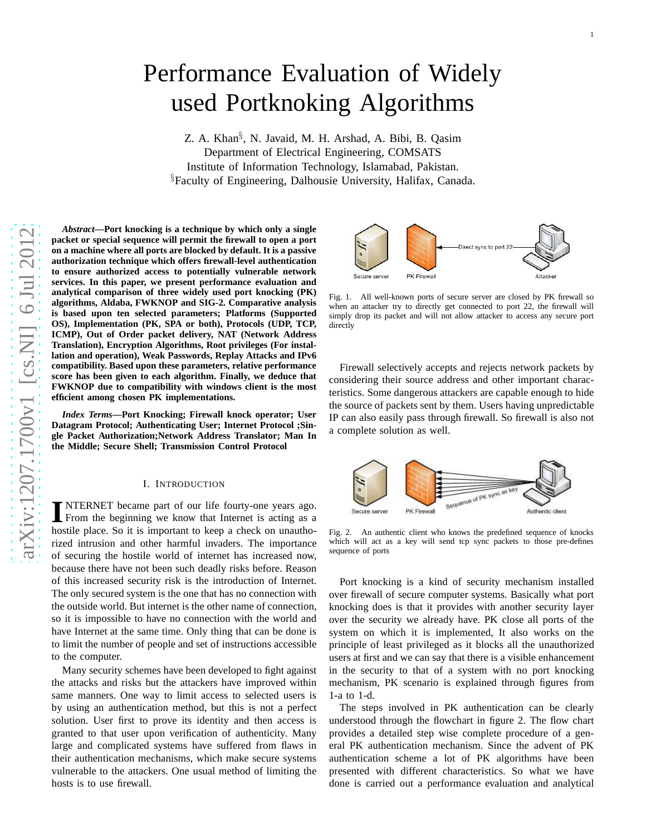# Performance Evaluation of Widely used Portknoking Algorithms

Z. A. Khan<sup>§</sup>, N. Javaid, M. H. Arshad, A. Bibi, B. Qasim Department of Electrical Engineering, COMSATS Institute of Information Technology, Islamabad, Pakistan . §Faculty of Engineering, Dalhousie University, Halifax, Canada.

*Abstract***—Port knocking is a technique by which only a single packet or special sequence will permit the firewall to open a port on a machine where all ports are blocked by default. It is a passive authorization technique which offers firewall-level authentication to ensure authorized access to potentially vulnerable network services. In this paper, we present performance evaluation and analytical comparison of three widely used port knocking (PK) algorithms, Aldaba, FWKNOP and SIG-2. Comparative analysi s** is based upon ten selected parameters; Platforms (Supported **OS), Implementation (PK, SPA or both), Protocols (UDP, TCP, ICMP), Out of Order packet delivery, NAT (Network Address Translation), Encryption Algorithms, Root privileges (For installation and operation), Weak Passwords, Replay Attacks and IPv6 compatibility. Based upon these parameters, relative performance score has been given to each algorithm. Finally, we deduce that FWKNOP due to compatibility with windows client is the most efficient among chosen PK implementations.**

*Index Terms***—Port Knocking; Firewall knock operator; User Datagram Protocol; Authenticating User; Internet Protocol ;Single Packet Authorization;Network Address Translator; Man In the Middle; Secure Shell; Transmission Control Protocol**

#### I. INTRODUCTION

**I** NTERNET became part of our life fourty-one years ago.<br>From the beginning we know that Internet is acting as a hostile place. So it is important to keep a check on unautho-NTERNET became part of our life fourty-one years ago. From the beginning we know that Internet is acting as a rized intrusion and other harmful invaders. The importance of securing the hostile world of internet has increased now, because there have not been such deadly risks before. Reason of this increased security risk is the introduction of Internet. The only secured system is the one that has no connection with the outside world. But internet is the other name of connection, so it is impossible to have no connection with the world and have Internet at the same time. Only thing that can be done is to limit the number of people and set of instructions accessible to the computer.

Many security schemes have been developed to fight against the attacks and risks but the attackers have improved within same manners. One way to limit access to selected users is by using an authentication method, but this is not a perfect solution. User first to prove its identity and then access is granted to that user upon verification of authenticity. Many large and complicated systems have suffered from flaws in their authentication mechanisms, which make secure system s vulnerable to the attackers. One usual method of limiting th e hosts is to use firewall.



Fig. 1. All well-known ports of secure server are closed by PK firewall so when an attacker try to directly get connected to port 22, the firewall will simply drop its packet and will not allow attacker to access any secure port directly

Firewall selectively accepts and rejects network packets b y considering their source address and other important characteristics. Some dangerous attackers are capable enough to hide the source of packets sent by them. Users having unpredictable IP can also easily pass through firewall. So firewall is also no t a complete solution as well.



Fig. 2. An authentic client who knows the predefined sequence of knocks which will act as a key will send tcp sync packets to those pre-defines sequence of ports

Port knocking is a kind of security mechanism installed over firewall of secure computer systems. Basically what por t knocking does is that it provides with another security layer over the security we already have. PK close all ports of the system on which it is implemented, It also works on the principle of least privileged as it blocks all the unauthorized users at first and we can say that there is a visible enhancemen t in the security to that of a system with no port knocking mechanism, PK scenario is explained through figures from 1-a to 1-d.

The steps involved in PK authentication can be clearly understood through the flowchart in figure 2. The flow chart provides a detailed step wise complete procedure of a general PK authentication mechanism. Since the advent of PK authentication scheme a lot of PK algorithms have been presented with different characteristics. So what we have done is carried out a performance evaluation and analytical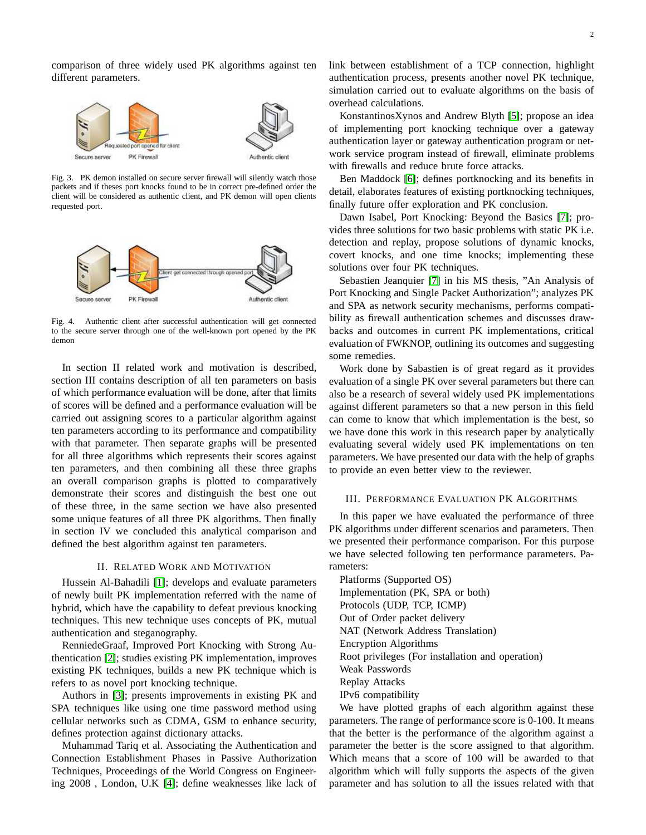comparison of three widely used PK algorithms against ten different parameters.



Fig. 3. PK demon installed on secure server firewall will silently watch those packets and if theses port knocks found to be in correct pre-defined order the client will be considered as authentic client, and PK demon will open clients requested port.



Fig. 4. Authentic client after successful authentication will get connected to the secure server through one of the well-known port opened by the PK demon

In section II related work and motivation is described, section III contains description of all ten parameters on basis of which performance evaluation will be done, after that limits of scores will be defined and a performance evaluation will be carried out assigning scores to a particular algorithm against ten parameters according to its performance and compatibility with that parameter. Then separate graphs will be presented for all three algorithms which represents their scores against ten parameters, and then combining all these three graphs an overall comparison graphs is plotted to comparatively demonstrate their scores and distinguish the best one out of these three, in the same section we have also presented some unique features of all three PK algorithms. Then finally in section IV we concluded this analytical comparison and defined the best algorithm against ten parameters.

## II. RELATED WORK AND MOTIVATION

Hussein Al-Bahadili [\[1\]](#page-4-0); develops and evaluate parameters of newly built PK implementation referred with the name of hybrid, which have the capability to defeat previous knocking techniques. This new technique uses concepts of PK, mutual authentication and steganography.

RenniedeGraaf, Improved Port Knocking with Strong Authentication [\[2\]](#page-4-1); studies existing PK implementation, improves existing PK techniques, builds a new PK technique which is refers to as novel port knocking technique.

Authors in [\[3\]](#page-4-2); presents improvements in existing PK and SPA techniques like using one time password method using cellular networks such as CDMA, GSM to enhance security, defines protection against dictionary attacks.

Muhammad Tariq et al. Associating the Authentication and Connection Establishment Phases in Passive Authorization Techniques, Proceedings of the World Congress on Engineering 2008 , London, U.K [\[4\]](#page-4-3); define weaknesses like lack of link between establishment of a TCP connection, highlight authentication process, presents another novel PK technique, simulation carried out to evaluate algorithms on the basis of overhead calculations.

KonstantinosXynos and Andrew Blyth [\[5\]](#page-4-4); propose an idea of implementing port knocking technique over a gateway authentication layer or gateway authentication program or network service program instead of firewall, eliminate problems with firewalls and reduce brute force attacks.

Ben Maddock [\[6\]](#page-4-5); defines portknocking and its benefits in detail, elaborates features of existing portknocking techniques, finally future offer exploration and PK conclusion.

Dawn Isabel, Port Knocking: Beyond the Basics [\[7\]](#page-4-6); provides three solutions for two basic problems with static PK i.e. detection and replay, propose solutions of dynamic knocks, covert knocks, and one time knocks; implementing these solutions over four PK techniques.

Sebastien Jeanquier [\[7\]](#page-4-6) in his MS thesis, "An Analysis of Port Knocking and Single Packet Authorization"; analyzes PK and SPA as network security mechanisms, performs compatibility as firewall authentication schemes and discusses drawbacks and outcomes in current PK implementations, critical evaluation of FWKNOP, outlining its outcomes and suggesting some remedies.

Work done by Sabastien is of great regard as it provides evaluation of a single PK over several parameters but there can also be a research of several widely used PK implementations against different parameters so that a new person in this field can come to know that which implementation is the best, so we have done this work in this research paper by analytically evaluating several widely used PK implementations on ten parameters. We have presented our data with the help of graphs to provide an even better view to the reviewer.

## III. PERFORMANCE EVALUATION PK ALGORITHMS

In this paper we have evaluated the performance of three PK algorithms under different scenarios and parameters. Then we presented their performance comparison. For this purpose we have selected following ten performance parameters. Parameters:

Platforms (Supported OS) Implementation (PK, SPA or both) Protocols (UDP, TCP, ICMP) Out of Order packet delivery NAT (Network Address Translation) Encryption Algorithms Root privileges (For installation and operation) Weak Passwords Replay Attacks IPv6 compatibility

We have plotted graphs of each algorithm against these parameters. The range of performance score is 0-100. It means that the better is the performance of the algorithm against a parameter the better is the score assigned to that algorithm. Which means that a score of 100 will be awarded to that algorithm which will fully supports the aspects of the given parameter and has solution to all the issues related with that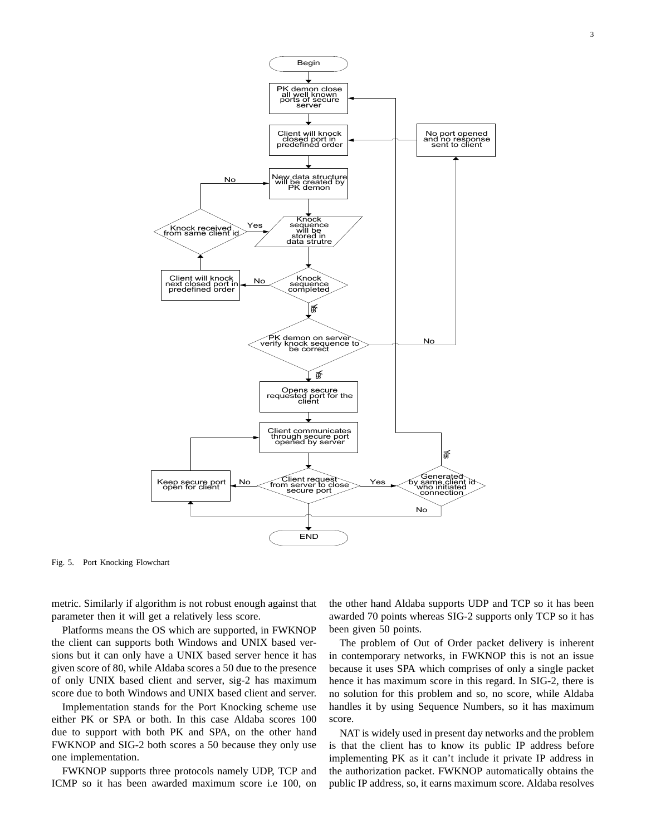

Fig. 5. Port Knocking Flowchart

metric. Similarly if algorithm is not robust enough against that parameter then it will get a relatively less score.

Platforms means the OS which are supported, in FWKNOP the client can supports both Windows and UNIX based versions but it can only have a UNIX based server hence it has given score of 80, while Aldaba scores a 50 due to the presence of only UNIX based client and server, sig-2 has maximum score due to both Windows and UNIX based client and server.

Implementation stands for the Port Knocking scheme use either PK or SPA or both. In this case Aldaba scores 100 due to support with both PK and SPA, on the other hand FWKNOP and SIG-2 both scores a 50 because they only use one implementation.

FWKNOP supports three protocols namely UDP, TCP and ICMP so it has been awarded maximum score i.e 100, on

the other hand Aldaba supports UDP and TCP so it has been awarded 70 points whereas SIG-2 supports only TCP so it has been given 50 points.

The problem of Out of Order packet delivery is inherent in contemporary networks, in FWKNOP this is not an issue because it uses SPA which comprises of only a single packet hence it has maximum score in this regard. In SIG-2, there is no solution for this problem and so, no score, while Aldaba handles it by using Sequence Numbers, so it has maximum score.

NAT is widely used in present day networks and the problem is that the client has to know its public IP address before implementing PK as it can't include it private IP address in the authorization packet. FWKNOP automatically obtains the public IP address, so, it earns maximum score. Aldaba resolves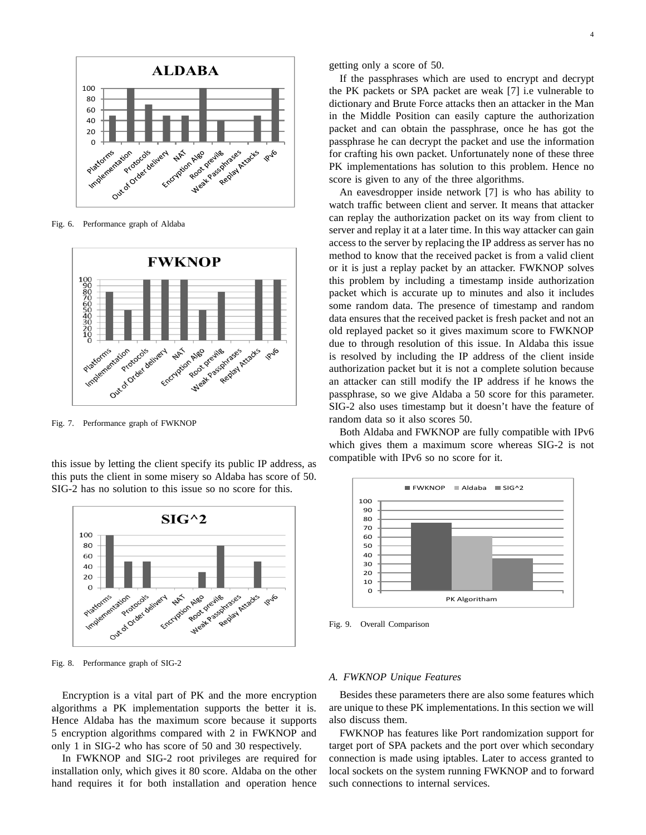

Fig. 6. Performance graph of Aldaba



Fig. 7. Performance graph of FWKNOP

this issue by letting the client specify its public IP address, as this puts the client in some misery so Aldaba has score of 50. SIG-2 has no solution to this issue so no score for this.



Fig. 8. Performance graph of SIG-2

Encryption is a vital part of PK and the more encryption algorithms a PK implementation supports the better it is. Hence Aldaba has the maximum score because it supports 5 encryption algorithms compared with 2 in FWKNOP and only 1 in SIG-2 who has score of 50 and 30 respectively.

In FWKNOP and SIG-2 root privileges are required for installation only, which gives it 80 score. Aldaba on the other hand requires it for both installation and operation hence getting only a score of 50.

If the passphrases which are used to encrypt and decrypt the PK packets or SPA packet are weak [7] i.e vulnerable to dictionary and Brute Force attacks then an attacker in the Man in the Middle Position can easily capture the authorization packet and can obtain the passphrase, once he has got the passphrase he can decrypt the packet and use the information for crafting his own packet. Unfortunately none of these three PK implementations has solution to this problem. Hence no score is given to any of the three algorithms.

An eavesdropper inside network [7] is who has ability to watch traffic between client and server. It means that attacker can replay the authorization packet on its way from client to server and replay it at a later time. In this way attacker can gain access to the server by replacing the IP address as server has no method to know that the received packet is from a valid client or it is just a replay packet by an attacker. FWKNOP solves this problem by including a timestamp inside authorization packet which is accurate up to minutes and also it includes some random data. The presence of timestamp and random data ensures that the received packet is fresh packet and not an old replayed packet so it gives maximum score to FWKNOP due to through resolution of this issue. In Aldaba this issue is resolved by including the IP address of the client inside authorization packet but it is not a complete solution because an attacker can still modify the IP address if he knows the passphrase, so we give Aldaba a 50 score for this parameter. SIG-2 also uses timestamp but it doesn't have the feature of random data so it also scores 50.

Both Aldaba and FWKNOP are fully compatible with IPv6 which gives them a maximum score whereas SIG-2 is not compatible with IPv6 so no score for it.



Fig. 9. Overall Comparison

### *A. FWKNOP Unique Features*

Besides these parameters there are also some features which are unique to these PK implementations. In this section we will also discuss them.

FWKNOP has features like Port randomization support for target port of SPA packets and the port over which secondary connection is made using iptables. Later to access granted to local sockets on the system running FWKNOP and to forward such connections to internal services.